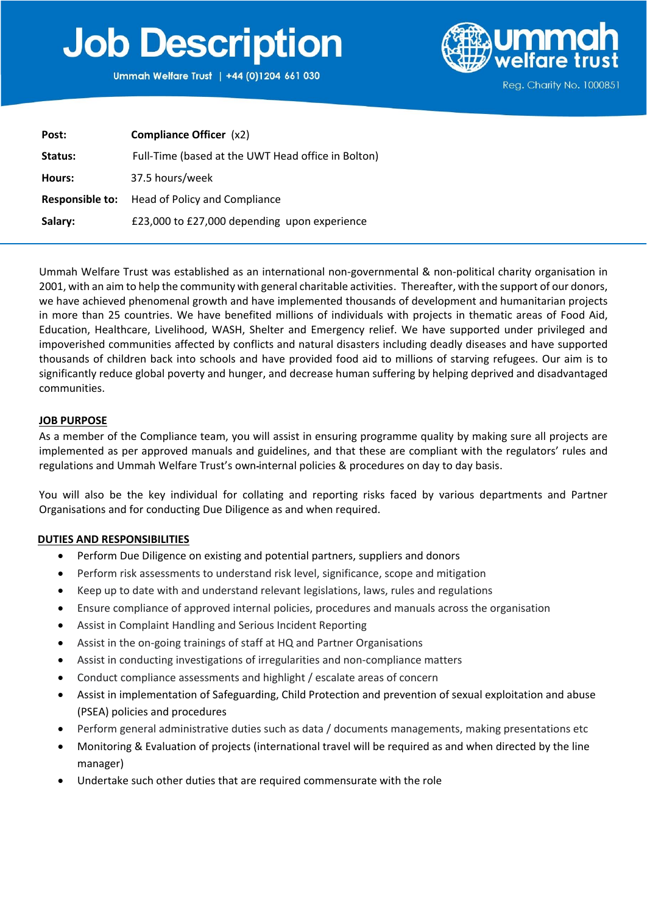# **Job Description**

Ummah Welfare Trust | +44 (0)1204 661 030



| Post:           | <b>Compliance Officer</b> (x2)                     |
|-----------------|----------------------------------------------------|
| Status:         | Full-Time (based at the UWT Head office in Bolton) |
| Hours:          | 37.5 hours/week                                    |
| Responsible to: | Head of Policy and Compliance                      |
| Salary:         | £23,000 to £27,000 depending upon experience       |

Ummah Welfare Trust was established as an international non-governmental & non-political charity organisation in 2001, with an aim to help the community with general charitable activities. Thereafter, with the support of our donors, we have achieved phenomenal growth and have implemented thousands of development and humanitarian projects in more than 25 countries. We have benefited millions of individuals with projects in thematic areas of Food Aid, Education, Healthcare, Livelihood, WASH, Shelter and Emergency relief. We have supported under privileged and impoverished communities affected by conflicts and natural disasters including deadly diseases and have supported thousands of children back into schools and have provided food aid to millions of starving refugees. Our aim is to significantly reduce global poverty and hunger, and decrease human suffering by helping deprived and disadvantaged communities.

## **JOB PURPOSE**

As a member of the Compliance team, you will assist in ensuring programme quality by making sure all projects are implemented as per approved manuals and guidelines, and that these are compliant with the regulators' rules and regulations and Ummah Welfare Trust's own internal policies & procedures on day to day basis.

You will also be the key individual for collating and reporting risks faced by various departments and Partner Organisations and for conducting Due Diligence as and when required.

## **DUTIES AND RESPONSIBILITIES**

- Perform Due Diligence on existing and potential partners, suppliers and donors
- Perform risk assessments to understand risk level, significance, scope and mitigation
- Keep up to date with and understand relevant legislations, laws, rules and regulations
- Ensure compliance of approved internal policies, procedures and manuals across the organisation
- Assist in Complaint Handling and Serious Incident Reporting
- Assist in the on-going trainings of staff at HQ and Partner Organisations
- Assist in conducting investigations of irregularities and non-compliance matters
- Conduct compliance assessments and highlight / escalate areas of concern
- Assist in implementation of Safeguarding, Child Protection and prevention of sexual exploitation and abuse (PSEA) policies and procedures
- Perform general administrative duties such as data / documents managements, making presentations etc
- Monitoring & Evaluation of projects (international travel will be required as and when directed by the line manager)
- Undertake such other duties that are required commensurate with the role